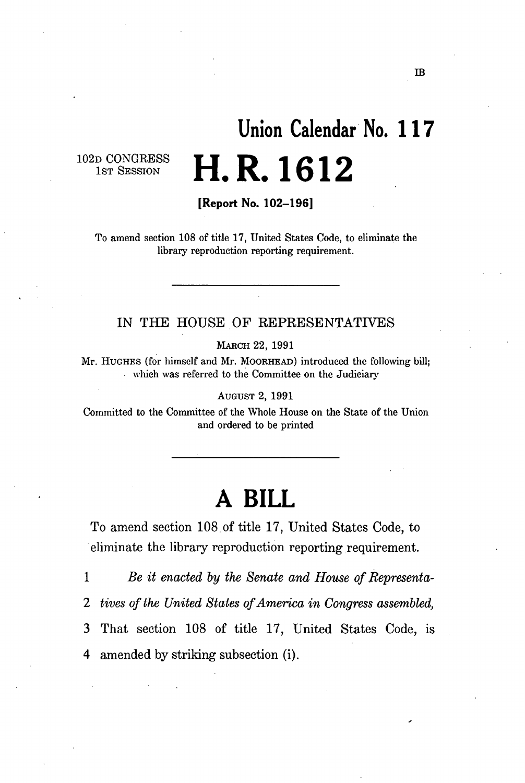# **Union Calendar No. 11 7 H.R.1612**

102D CONGRESS 1<sub>ST</sub> SESSION

**[Report No. 102-196]** 

To amend section 108 of title 17, United States Code, to eliminate the library reproduction reporting requirement.

#### IN THE HOUSE OF REPRESENTATIVES

MARCH 22, 1991

Mr. HUGHES (for himself and Mr. MOORHEAD) introduced the following bill; which was referred to the Committee on the Judiciary

AUGUST 2, 1991

Committed to the Committee of the Whole House on the State of the Union and ordered to be printed

## **A BILL**

To amend section 108 of title 17, United States Code, to eliminate the library reproduction reporting requirement.

1 *Be it enacted by the Senate and House of Representa-2 tives of the United States of America in Congress assembled,*  3 That section 108 of title 17, United States Code, is 4 amended by striking subsection (i).